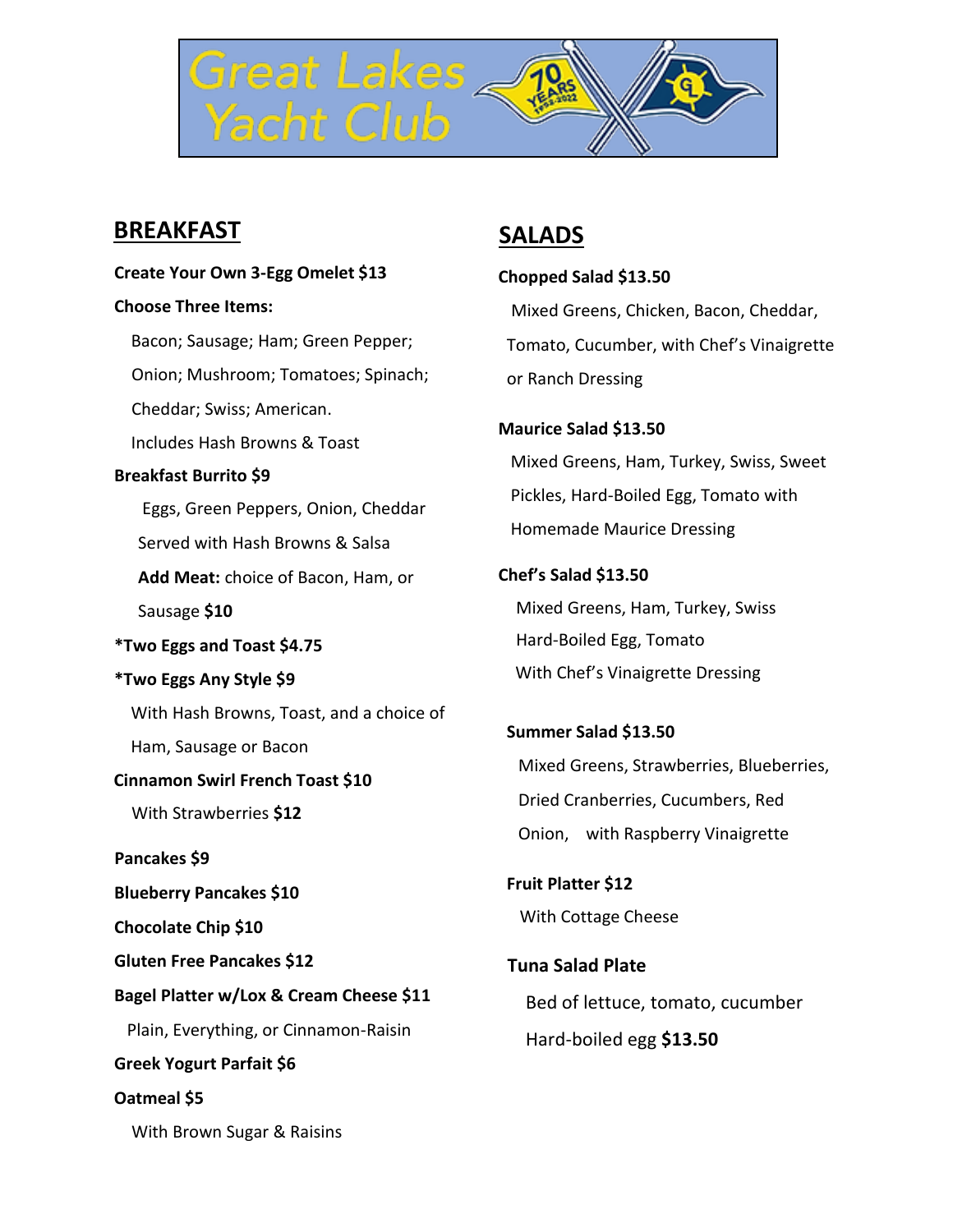

## **BREAKFAST**

#### **Create Your Own 3-Egg Omelet \$13**

#### **Choose Three Items:**

Bacon; Sausage; Ham; Green Pepper; Onion; Mushroom; Tomatoes; Spinach; Cheddar; Swiss; American. Includes Hash Browns & Toast **Breakfast Burrito \$9** Eggs, Green Peppers, Onion, Cheddar Served with Hash Browns & Salsa **Add Meat:** choice of Bacon, Ham, or Sausage **\$10 \*Two Eggs and Toast \$4.75 \*Two Eggs Any Style \$9** With Hash Browns, Toast, and a choice of Ham, Sausage or Bacon **Cinnamon Swirl French Toast \$10** With Strawberries **\$12 Pancakes \$9 Blueberry Pancakes \$10 Chocolate Chip \$10 Gluten Free Pancakes \$12 Bagel Platter w/Lox & Cream Cheese \$11** Plain, Everything, or Cinnamon-Raisin **Greek Yogurt Parfait \$6 Oatmeal \$5** With Brown Sugar & Raisins

### **SALADS**

**Chopped Salad \$13.50** Mixed Greens, Chicken, Bacon, Cheddar, Tomato, Cucumber, with Chef's Vinaigrette or Ranch Dressing

# **Maurice Salad \$13.50** Mixed Greens, Ham, Turkey, Swiss, Sweet Pickles, Hard-Boiled Egg, Tomato with Homemade Maurice Dressing

**Chef's Salad \$13.50** Mixed Greens, Ham, Turkey, Swiss Hard-Boiled Egg, Tomato With Chef's Vinaigrette Dressing

**Summer Salad \$13.50** Mixed Greens, Strawberries, Blueberries, Dried Cranberries, Cucumbers, Red Onion, with Raspberry Vinaigrette

**Fruit Platter \$12** With Cottage Cheese

 **Tuna Salad Plate** Bed of lettuce, tomato, cucumber Hard-boiled egg **\$13.50**